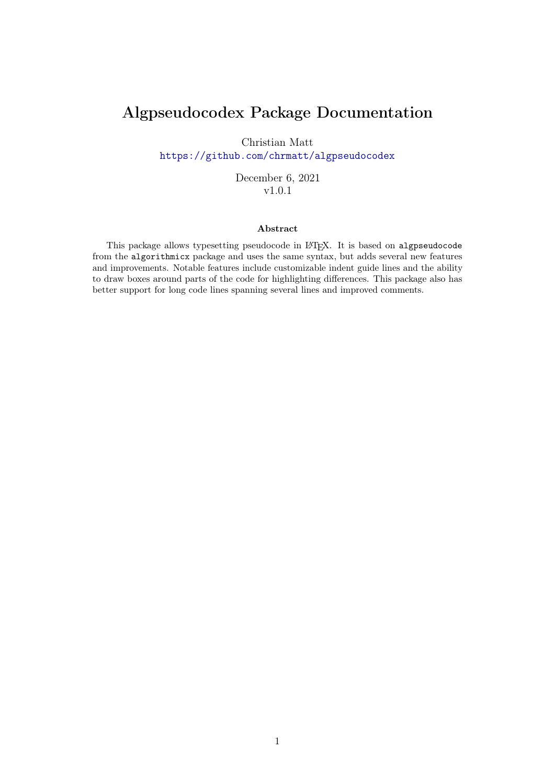# Algpseudocodex Package Documentation

Christian Matt

<https://github.com/chrmatt/algpseudocodex>

December 6, 2021 v1.0.1

#### Abstract

This package allows typesetting pseudocode in LAT<sub>EX</sub>. It is based on algpseudocode from the algorithmicx package and uses the same syntax, but adds several new features and improvements. Notable features include customizable indent guide lines and the ability to draw boxes around parts of the code for highlighting differences. This package also has better support for long code lines spanning several lines and improved comments.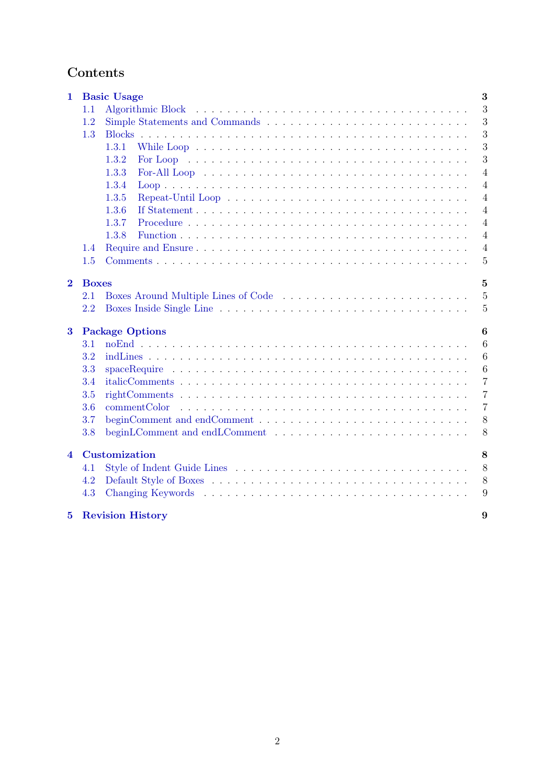# Contents

| 1                       |              | 3<br><b>Basic Usage</b>                                                                                                             |
|-------------------------|--------------|-------------------------------------------------------------------------------------------------------------------------------------|
|                         | 1.1          | 3<br>Algorithmic Block                                                                                                              |
|                         | 1.2          | 3                                                                                                                                   |
|                         | 1.3          | 3                                                                                                                                   |
|                         |              | 3<br>1.3.1                                                                                                                          |
|                         |              | 3<br>1.3.2                                                                                                                          |
|                         |              | $\overline{4}$<br>1.3.3<br>For-All Loop $\dots \dots \dots \dots \dots \dots \dots \dots \dots \dots \dots \dots \dots \dots \dots$ |
|                         |              | 1.3.4<br>$\overline{4}$                                                                                                             |
|                         |              | 1.3.5<br>$\overline{4}$                                                                                                             |
|                         |              | 1.3.6<br>$\overline{4}$                                                                                                             |
|                         |              | 1.3.7<br>$\overline{4}$                                                                                                             |
|                         |              | 1.3.8<br>$\overline{4}$                                                                                                             |
|                         | 1.4          | $\overline{4}$                                                                                                                      |
|                         | 1.5          | 5                                                                                                                                   |
|                         |              |                                                                                                                                     |
| $\bf{2}$                | <b>Boxes</b> | $\overline{5}$                                                                                                                      |
|                         | 2.1          | $\overline{5}$                                                                                                                      |
|                         | 2.2          | 5                                                                                                                                   |
| $\bf{3}$                |              | <b>Package Options</b><br>6                                                                                                         |
|                         | 3.1          | 6                                                                                                                                   |
|                         | 3.2          | 6                                                                                                                                   |
|                         | 3.3          | $\boldsymbol{6}$                                                                                                                    |
|                         | 3.4          | $\overline{7}$                                                                                                                      |
|                         | 3.5          | $\overline{7}$                                                                                                                      |
|                         | 3.6          | $\overline{7}$<br>commentColor                                                                                                      |
|                         | 3.7          | 8                                                                                                                                   |
|                         | 3.8          | 8                                                                                                                                   |
| $\overline{\mathbf{4}}$ |              | Customization<br>8                                                                                                                  |
|                         | 4.1          | 8                                                                                                                                   |
|                         | 4.2          | 8                                                                                                                                   |
|                         | 4.3          | 9                                                                                                                                   |
|                         |              |                                                                                                                                     |
| 5                       |              | <b>Revision History</b><br>9                                                                                                        |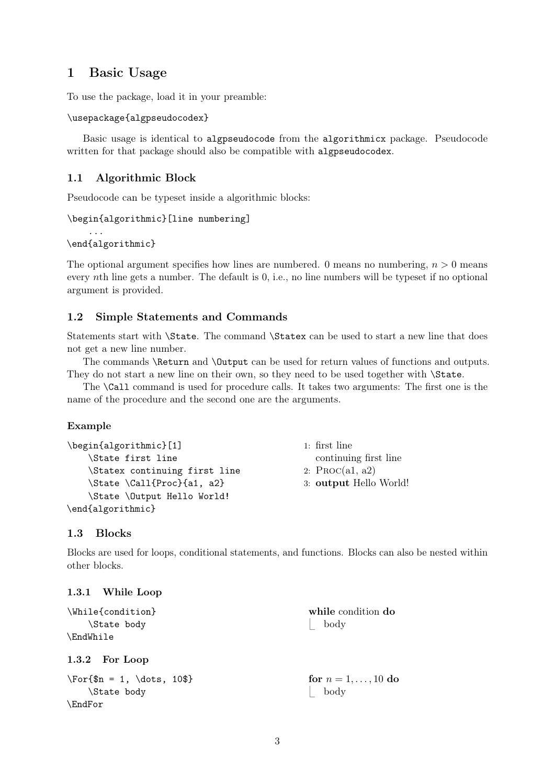## <span id="page-2-0"></span>1 Basic Usage

To use the package, load it in your preamble:

```
\usepackage{algpseudocodex}
```
Basic usage is identical to algpseudocode from the algorithmicx package. Pseudocode written for that package should also be compatible with algpseudocodex.

## <span id="page-2-1"></span>1.1 Algorithmic Block

Pseudocode can be typeset inside a algorithmic blocks:

```
\begin{algorithmic}[line numbering]
    ...
\end{algorithmic}
```
The optional argument specifies how lines are numbered. 0 means no numbering,  $n > 0$  means every nth line gets a number. The default is 0, i.e., no line numbers will be typeset if no optional argument is provided.

#### <span id="page-2-2"></span>1.2 Simple Statements and Commands

Statements start with \State. The command \Statex can be used to start a new line that does not get a new line number.

The commands **\Return** and **\Output** can be used for return values of functions and outputs. They do not start a new line on their own, so they need to be used together with \State.

The \Call command is used for procedure calls. It takes two arguments: The first one is the name of the procedure and the second one are the arguments.

#### Example

```
\begin{algorithmic}[1]
    \State first line
    \Statex continuing first line
    \State \Call{Proc}{a1, a2}
    \State \Output Hello World!
\end{algorithmic}
```
1: first line continuing first line 2: Proc(a1, a2) 3: output Hello World!

#### <span id="page-2-3"></span>1.3 Blocks

Blocks are used for loops, conditional statements, and functions. Blocks can also be nested within other blocks.

#### <span id="page-2-4"></span>1.3.1 While Loop

<span id="page-2-5"></span>

| \While{condition}<br>State body                                       | while condition do<br>body   |  |
|-----------------------------------------------------------------------|------------------------------|--|
| <b>\EndWhile</b><br>1.3.2 For Loop                                    |                              |  |
| $\forall$ \For{\$n = 1, \dots, 10\$}<br>\State body<br><b>\EndFor</b> | for $n = 1, , 10$ do<br>body |  |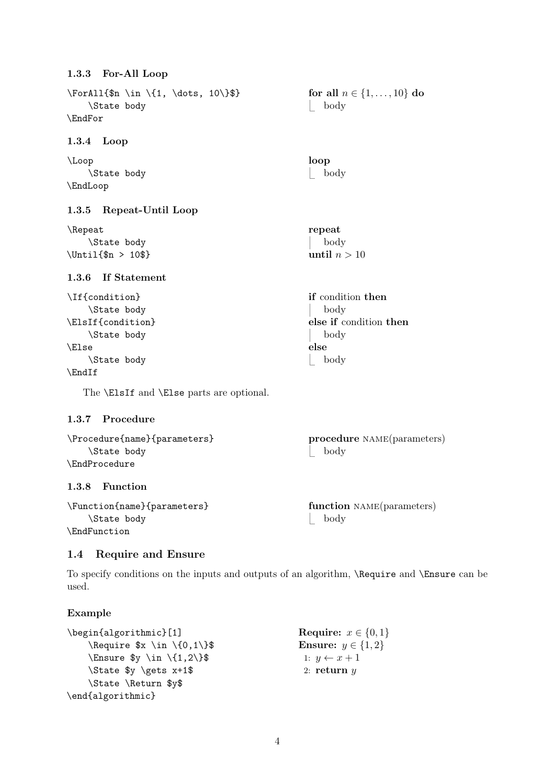#### <span id="page-3-0"></span>1.3.3 For-All Loop

<span id="page-3-2"></span><span id="page-3-1"></span>

| \ForAll{\$n \in \{1, \dots, 10\}\$}<br>\State body<br>\EndFor    | for all $n \in \{1, , 10\}$ do<br>body |
|------------------------------------------------------------------|----------------------------------------|
| 1.3.4 Loop                                                       |                                        |
| \Loop<br>\State body<br>\EndLoop                                 | loop<br>body                           |
| 1.3.5 Repeat-Until Loop                                          |                                        |
| \Repeat<br>\State body<br>$\mathrm{Unit1}\$ fn > 10\$}           | repeat<br>body<br>until $n > 10$       |
| 1.3.6 If Statement                                               |                                        |
| \If{condition}<br>\State body                                    | if condition then<br>body              |
| \ElsIf{condition}<br>\State body                                 | else if condition then<br>body         |
| \Else<br>\State body                                             | else<br>body                           |
| \EndIf<br>The <b>\ElsIf</b> and <b>\Else</b> parts are optional. |                                        |
| 1.3.7 Procedure                                                  |                                        |
| $\mathbf{v} = \mathbf{v} \cdot \mathbf{v}$                       |                                        |

#### <span id="page-3-4"></span><span id="page-3-3"></span>\Procedure{name}{parameters} \State body \EndProcedure procedure NAME(parameters) | body

## <span id="page-3-5"></span>1.3.8 Function

\Function{name}{parameters} \State body \EndFunction

function NAME(parameters) | body

## <span id="page-3-6"></span>1.4 Require and Ensure

To specify conditions on the inputs and outputs of an algorithm, \Require and \Ensure can be used.

## Example

```
\begin{algorithmic}[1]
    \Require x \in \{0,1\}\text{Ensure } \in \{1,2\}\State $y \gets x+1$
    \State \Return $y$
\end{algorithmic}
                                                Require: x \in \{0,1\}Ensure: y \in \{1,2\}1: y \leftarrow x + 12: return y
```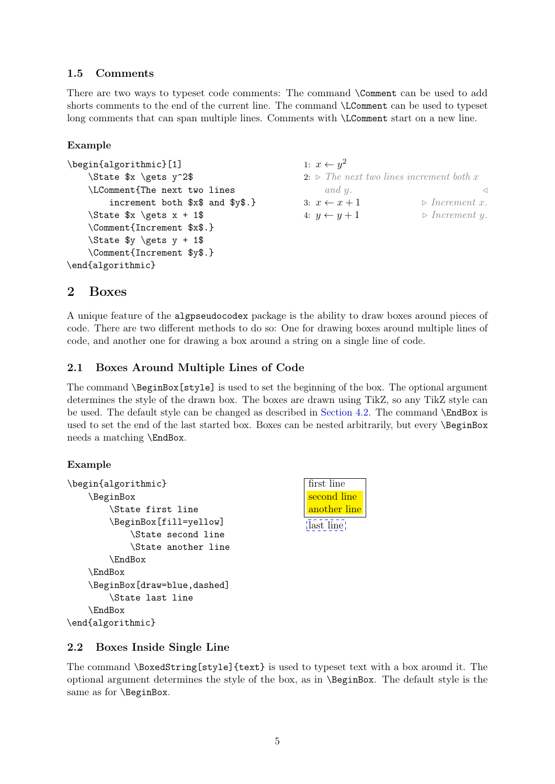## <span id="page-4-0"></span>1.5 Comments

There are two ways to typeset code comments: The command \Comment can be used to add shorts comments to the end of the current line. The command \LComment can be used to typeset long comments that can span multiple lines. Comments with \LComment start on a new line.

## Example

```
\begin{algorithmic}[1]
    \State $x \gets y^2$
    \LComment{The next two lines
         increment both $x$ and $y$.}
    \text{State } \text{Sets } x + 1\Comment{Increment $x$.}
    \text{State } \text{y } \text{y } + 1$
    \Comment{Increment $y$.}
                                                      1: x \leftarrow y^22: \triangleright The next two lines increment both x
                                                          and y.
                                                     3: x \leftarrow x + 1 \triangleright Increment x.
                                                     4: y \leftarrow y + 1 \triangleright Increment y.
```
\end{algorithmic}

## <span id="page-4-1"></span>2 Boxes

A unique feature of the algpseudocodex package is the ability to draw boxes around pieces of code. There are two different methods to do so: One for drawing boxes around multiple lines of code, and another one for drawing a box around a string on a single line of code.

## <span id="page-4-2"></span>2.1 Boxes Around Multiple Lines of Code

The command \BeginBox[style] is used to set the beginning of the box. The optional argument determines the style of the drawn box. The boxes are drawn using TikZ, so any TikZ style can be used. The default style can be changed as described in [Section 4.2.](#page-7-4) The command \EndBox is used to set the end of the last started box. Boxes can be nested arbitrarily, but every \BeginBox needs a matching \EndBox.

## Example

```
\begin{algorithmic}
    \BeginBox
        \State first line
        \BeginBox[fill=yellow]
            \State second line
            \State another line
        \EndBox
    \EndBox
    \BeginBox[draw=blue,dashed]
        \State last line
    \EndBox
\end{algorithmic}
```

| first line   |  |
|--------------|--|
| second line  |  |
| another line |  |
| last line    |  |

## <span id="page-4-3"></span>2.2 Boxes Inside Single Line

The command \BoxedString[style]{text} is used to typeset text with a box around it. The optional argument determines the style of the box, as in \BeginBox. The default style is the same as for **\BeginBox**.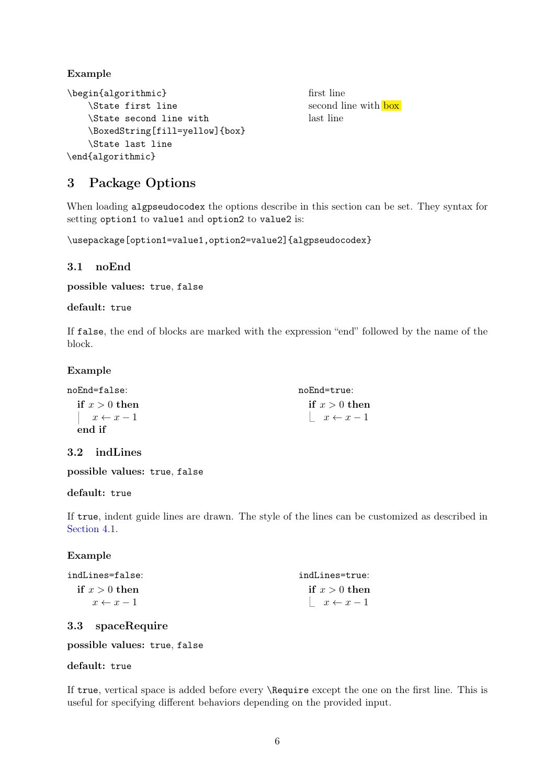## Example

```
\begin{algorithmic}
    \State first line
    \State second line with
    \BoxedString[fill=yellow]{box}
    \State last line
\end{algorithmic}
```
first line second line with **box** last line

## <span id="page-5-0"></span>3 Package Options

When loading algpseudocodex the options describe in this section can be set. They syntax for setting option1 to value1 and option2 to value2 is:

\usepackage[option1=value1,option2=value2]{algpseudocodex}

## <span id="page-5-1"></span>3.1 noEnd

possible values: true, false

#### default: true

If false, the end of blocks are marked with the expression "end" followed by the name of the block.

#### Example

| noEnd=false:       | noEnd=true:        |  |
|--------------------|--------------------|--|
| if $x > 0$ then    | if $x > 0$ then    |  |
| $x \leftarrow x-1$ | $x \leftarrow x-1$ |  |
| $end$ if           |                    |  |

## <span id="page-5-2"></span>3.2 indLines

possible values: true, false

#### default: true

If true, indent guide lines are drawn. The style of the lines can be customized as described in [Section 4.1.](#page-7-3)

#### Example

| indLines=false:    | indLines=true:     |
|--------------------|--------------------|
| if $x > 0$ then    | if $x > 0$ then    |
| $x \leftarrow x-1$ | $x \leftarrow x-1$ |

## <span id="page-5-3"></span>3.3 spaceRequire

possible values: true, false

#### default: true

If true, vertical space is added before every \Require except the one on the first line. This is useful for specifying different behaviors depending on the provided input.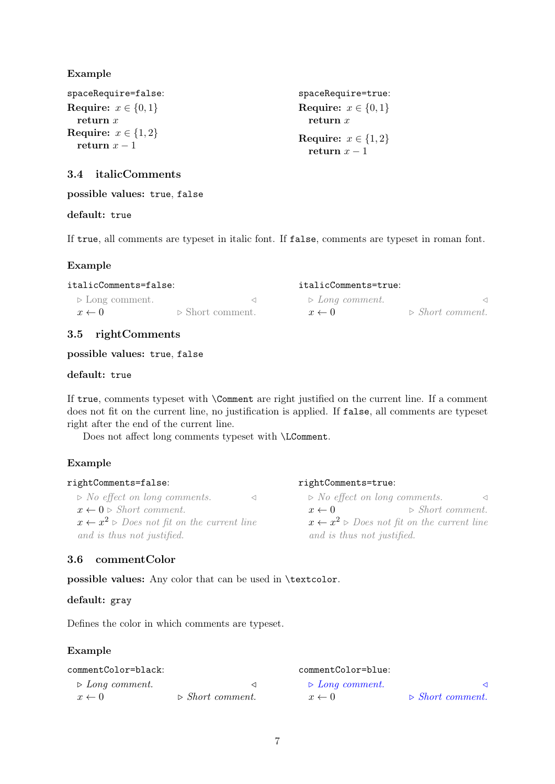#### Example

| spaceRequire=false:                      | spaceRequire=true:                       |
|------------------------------------------|------------------------------------------|
| Require: $x \in \{0,1\}$                 | Require: $x \in \{0,1\}$                 |
| return $x$                               | return $x$                               |
| Require: $x \in \{1,2\}$<br>return $x-1$ | Require: $x \in \{1,2\}$<br>return $x-1$ |

## <span id="page-6-0"></span>3.4 italicComments

possible values: true, false

#### default: true

If true, all comments are typeset in italic font. If false, comments are typeset in roman font.

#### Example

| italicComments=false:                              |                                 | italicComments=true:                               |                                 |
|----------------------------------------------------|---------------------------------|----------------------------------------------------|---------------------------------|
| $\triangleright$ Long comment.<br>$x \leftarrow 0$ | $\triangleright$ Short comment. | $\triangleright$ Long comment.<br>$x \leftarrow 0$ | $\triangleright$ Short comment. |

#### <span id="page-6-1"></span>3.5 rightComments

#### possible values: true, false

#### default: true

If true, comments typeset with \Comment are right justified on the current line. If a comment does not fit on the current line, no justification is applied. If false, all comments are typeset right after the end of the current line.

Does not affect long comments typeset with \LComment.

#### Example

| rightComments=false:                                                 | rightComments=true:                                                  |  |
|----------------------------------------------------------------------|----------------------------------------------------------------------|--|
| $\triangleright$ No effect on long comments.                         | $\triangleright$ No effect on long comments.<br>$\triangleleft$      |  |
| $x \leftarrow 0$ > Short comment.                                    | $\triangleright$ Short comment.<br>$x \leftarrow 0$                  |  |
| $x \leftarrow x^2$ $\triangleright$ Does not fit on the current line | $x \leftarrow x^2$ $\triangleright$ Does not fit on the current line |  |
| and is thus not justified.                                           | and is thus not justified.                                           |  |
|                                                                      |                                                                      |  |

#### <span id="page-6-2"></span>3.6 commentColor

possible values: Any color that can be used in \textcolor.

#### default: gray

Defines the color in which comments are typeset.

#### Example

| commentColor=black:            |                                 | commentColor=blue:             |                                 |
|--------------------------------|---------------------------------|--------------------------------|---------------------------------|
| $\triangleright$ Long comment. |                                 | $\triangleright$ Long comment. |                                 |
| $x \leftarrow 0$               | $\triangleright$ Short comment. | $x \leftarrow 0$               | $\triangleright$ Short comment. |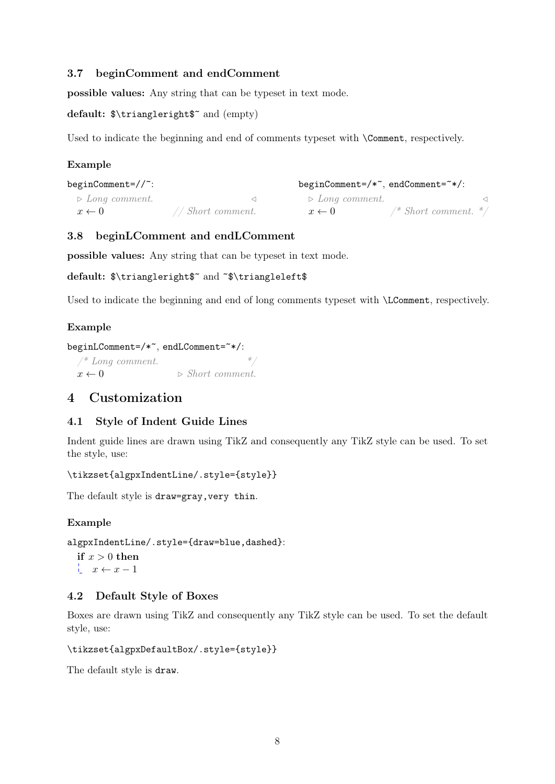## <span id="page-7-0"></span>3.7 beginComment and endComment

possible values: Any string that can be typeset in text mode.

```
default: $\triangleright$~ and (empty)
```
Used to indicate the beginning and end of comments typeset with  $\Comment$ , respectively.

## Example

| beginComment=//~:              |                     | beginComment=/* <sup>~</sup> , endComment= <sup>~*</sup> /: |                                            |  |
|--------------------------------|---------------------|-------------------------------------------------------------|--------------------------------------------|--|
| $\triangleright$ Long comment. |                     | $\triangleright$ Long comment.                              |                                            |  |
| $x \leftarrow 0$               | $//$ Short comment. | $x \leftarrow 0$                                            | $\frac{4}{3}$ Short comment. $\frac{4}{3}$ |  |

## <span id="page-7-1"></span>3.8 beginLComment and endLComment

possible values: Any string that can be typeset in text mode.

```
default: $\triangleright$~ and ~$\triangleleft$
```
Used to indicate the beginning and end of long comments typeset with  $\L$ Comment, respectively.

## Example

```
beginLComment=/*~, endLComment=~*/:
  /* Long comment.
  x \leftarrow 0 \triangleright Short comment.
```
## <span id="page-7-2"></span>4 Customization

## <span id="page-7-3"></span>4.1 Style of Indent Guide Lines

Indent guide lines are drawn using TikZ and consequently any TikZ style can be used. To set the style, use:

\tikzset{algpxIndentLine/.style={style}}

The default style is draw=gray, very thin.

## Example

algpxIndentLine/.style={draw=blue,dashed}:

if  $x > 0$  then  $x \leftarrow x-1$ 

## <span id="page-7-4"></span>4.2 Default Style of Boxes

Boxes are drawn using TikZ and consequently any TikZ style can be used. To set the default style, use:

\tikzset{algpxDefaultBox/.style={style}}

The default style is draw.